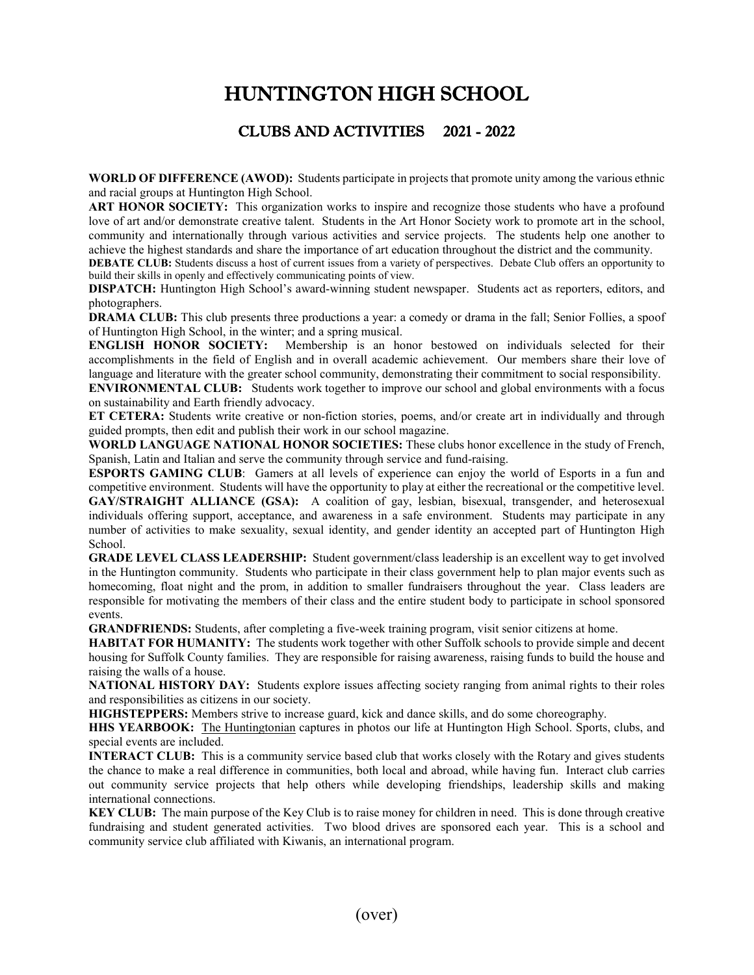## HUNTINGTON HIGH SCHOOL

## CLUBS AND ACTIVITIES 2021 - 2022

**WORLD OF DIFFERENCE (AWOD):** Students participate in projects that promote unity among the various ethnic and racial groups at Huntington High School.

**ART HONOR SOCIETY:** This organization works to inspire and recognize those students who have a profound love of art and/or demonstrate creative talent. Students in the Art Honor Society work to promote art in the school, community and internationally through various activities and service projects. The students help one another to achieve the highest standards and share the importance of art education throughout the district and the community.

**DEBATE CLUB:** Students discuss a host of current issues from a variety of perspectives. Debate Club offers an opportunity to build their skills in openly and effectively communicating points of view.

**DISPATCH:** Huntington High School's award-winning student newspaper. Students act as reporters, editors, and photographers.

**DRAMA CLUB:** This club presents three productions a year: a comedy or drama in the fall; Senior Follies, a spoof of Huntington High School, in the winter; and a spring musical.<br>**ENGLISH HONOR SOCIETY:** Membership is an ho

Membership is an honor bestowed on individuals selected for their accomplishments in the field of English and in overall academic achievement. Our members share their love of language and literature with the greater school community, demonstrating their commitment to social responsibility.

**ENVIRONMENTAL CLUB:** Students work together to improve our school and global environments with a focus on sustainability and Earth friendly advocacy.

**ET CETERA:** Students write creative or non-fiction stories, poems, and/or create art in individually and through guided prompts, then edit and publish their work in our school magazine.

**WORLD LANGUAGE NATIONAL HONOR SOCIETIES:** These clubs honor excellence in the study of French, Spanish, Latin and Italian and serve the community through service and fund-raising.

**ESPORTS GAMING CLUB**: Gamers at all levels of experience can enjoy the world of Esports in a fun and competitive environment. Students will have the opportunity to play at either the recreational or the competitive level. **GAY/STRAIGHT ALLIANCE (GSA):** A coalition of gay, lesbian, bisexual, transgender, and heterosexual individuals offering support, acceptance, and awareness in a safe environment. Students may participate in any number of activities to make sexuality, sexual identity, and gender identity an accepted part of Huntington High School.

**GRADE LEVEL CLASS LEADERSHIP:** Student government/class leadership is an excellent way to get involved in the Huntington community. Students who participate in their class government help to plan major events such as homecoming, float night and the prom, in addition to smaller fundraisers throughout the year. Class leaders are responsible for motivating the members of their class and the entire student body to participate in school sponsored events.

**GRANDFRIENDS:** Students, after completing a five-week training program, visit senior citizens at home.

**HABITAT FOR HUMANITY:** The students work together with other Suffolk schools to provide simple and decent housing for Suffolk County families. They are responsible for raising awareness, raising funds to build the house and raising the walls of a house.

**NATIONAL HISTORY DAY:** Students explore issues affecting society ranging from animal rights to their roles and responsibilities as citizens in our society.

**HIGHSTEPPERS:** Members strive to increase guard, kick and dance skills, and do some choreography.

**HHS YEARBOOK:** The Huntingtonian captures in photos our life at Huntington High School. Sports, clubs, and special events are included.

**INTERACT CLUB:** This is a community service based club that works closely with the Rotary and gives students the chance to make a real difference in communities, both local and abroad, while having fun. Interact club carries out community service projects that help others while developing friendships, leadership skills and making international connections.

**KEY CLUB:** The main purpose of the Key Club is to raise money for children in need. This is done through creative fundraising and student generated activities. Two blood drives are sponsored each year. This is a school and community service club affiliated with Kiwanis, an international program.